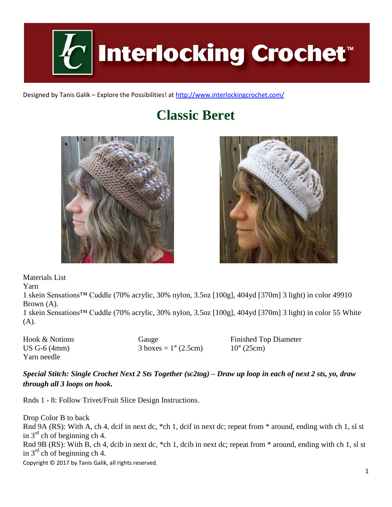

Designed by Tanis Galik – Explore the Possibilities! a[t http://www.interlockingcrochet.com/](http://www.interlockingcrochet.com/)

## **Classic Beret**





Materials List

Yarn

1 skein Sensations™ Cuddle (70% acrylic, 30% nylon, 3.5oz [100g], 404yd [370m] 3 light) in color 49910 Brown (A).

1 skein Sensations™ Cuddle (70% acrylic, 30% nylon, 3.5oz [100g], 404yd [370m] 3 light) in color 55 White (A).

Hook & Notions Gauge Finished Top Diameter US G-6 (4mm)  $3 \text{ boxes} = 1'' (2.5cm)$   $10'' (25cm)$ Yarn needle

## *Special Stitch: Single Crochet Next 2 Sts Together (sc2tog) – Draw up loop in each of next 2 sts, yo, draw through all 3 loops on hook.*

Rnds 1 - 8: Follow Trivet/Fruit Slice Design Instructions.

Copyright © 2017 by Tanis Galik, all rights reserved. Drop Color B to back Rnd 9A (RS): With A, ch 4, dcif in next dc, \*ch 1, dcif in next dc; repeat from \* around, ending with ch 1, sl st in  $3<sup>rd</sup>$  ch of beginning ch 4. Rnd 9B (RS): With B, ch 4, dcib in next dc, \*ch 1, dcib in next dc; repeat from \* around, ending with ch 1, sl st in  $3<sup>rd</sup>$  ch of beginning ch 4.